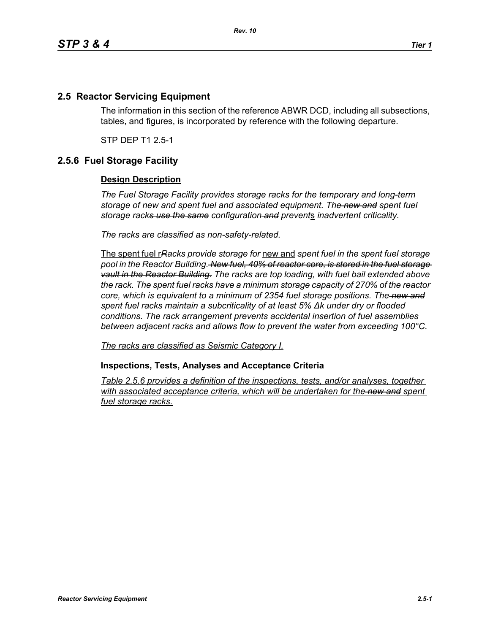## **2.5 Reactor Servicing Equipment**

The information in this section of the reference ABWR DCD, including all subsections, tables, and figures, is incorporated by reference with the following departure.

STP DEP T1 2.5-1

## **2.5.6 Fuel Storage Facility**

## **Design Description**

*The Fuel Storage Facility provides storage racks for the temporary and long-term storage of new and spent fuel and associated equipment. The new and spent fuel storage racks use the same configuration and prevent*s *inadvertent criticality.*

*The racks are classified as non-safety-related.*

The spent fuel r*Racks provide storage for* new and *spent fuel in the spent fuel storage pool in the Reactor Building. New fuel, 40% of reactor core, is stored in the fuel storage vault in the Reactor Building. The racks are top loading, with fuel bail extended above the rack. The spent fuel racks have a minimum storage capacity of 270% of the reactor core, which is equivalent to a minimum of 2354 fuel storage positions. The new and spent fuel racks maintain a subcriticality of at least 5% ∆k under dry or flooded conditions. The rack arrangement prevents accidental insertion of fuel assemblies between adjacent racks and allows flow to prevent the water from exceeding 100°C.*

*The racks are classified as Seismic Category I.*

**Inspections, Tests, Analyses and Acceptance Criteria**

*Table 2.5.6 provides a definition of the inspections, tests, and/or analyses, together*  with associated acceptance criteria, which will be undertaken for the new and spent *fuel storage racks.*